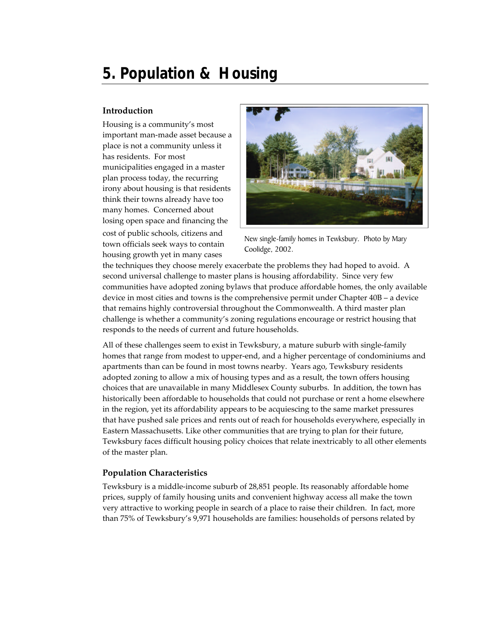# **5. Population & Housing**

## **Introduction**

Housing is a community's most important man-made asset because a place is not a community unless it has residents. For most municipalities engaged in a master plan process today, the recurring irony about housing is that residents think their towns already have too many homes. Concerned about losing open space and financing the cost of public schools, citizens and town officials seek ways to contain housing growth yet in many cases



New single-family homes in Tewksbury. Photo by Mary Coolidge, 2002.

the techniques they choose merely exacerbate the problems they had hoped to avoid. A second universal challenge to master plans is housing affordability. Since very few communities have adopted zoning bylaws that produce affordable homes, the only available device in most cities and towns is the comprehensive permit under Chapter 40B – a device that remains highly controversial throughout the Commonwealth. A third master plan challenge is whether a community's zoning regulations encourage or restrict housing that responds to the needs of current and future households.

All of these challenges seem to exist in Tewksbury, a mature suburb with single-family homes that range from modest to upper-end, and a higher percentage of condominiums and apartments than can be found in most towns nearby. Years ago, Tewksbury residents adopted zoning to allow a mix of housing types and as a result, the town offers housing choices that are unavailable in many Middlesex County suburbs. In addition, the town has historically been affordable to households that could not purchase or rent a home elsewhere in the region, yet its affordability appears to be acquiescing to the same market pressures that have pushed sale prices and rents out of reach for households everywhere, especially in Eastern Massachusetts. Like other communities that are trying to plan for their future, Tewksbury faces difficult housing policy choices that relate inextricably to all other elements of the master plan.

#### **Population Characteristics**

Tewksbury is a middle-income suburb of 28,851 people. Its reasonably affordable home prices, supply of family housing units and convenient highway access all make the town very attractive to working people in search of a place to raise their children. In fact, more than 75% of Tewksbury's 9,971 households are families: households of persons related by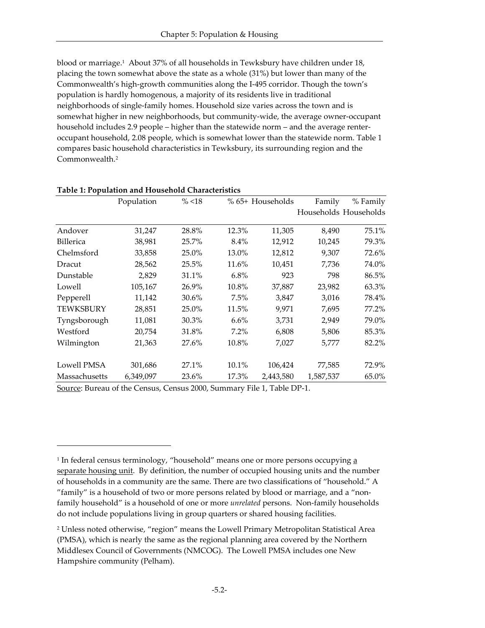blood or marriage.<sup>1</sup> About 37% of all households in Tewksbury have children under 18, placing the town somewhat above the state as a whole (31%) but lower than many of the Commonwealth's high-growth communities along the I-495 corridor. Though the town's population is hardly homogenous, a majority of its residents live in traditional neighborhoods of single-family homes. Household size varies across the town and is somewhat higher in new neighborhoods, but community-wide, the average owner-occupant household includes 2.9 people – higher than the statewide norm – and the average renteroccupant household, 2.08 people, which is somewhat lower than the statewide norm. Table 1 compares basic household characteristics in Tewksbury, its surrounding region and the Commonwealth.<sup>2</sup>

|                  | Population | $\%$ <18 |         | % 65+ Households |           | % Family              |
|------------------|------------|----------|---------|------------------|-----------|-----------------------|
|                  |            |          |         |                  |           | Households Households |
| Andover          | 31,247     | 28.8%    | 12.3%   | 11,305           | 8,490     | 75.1%                 |
| <b>Billerica</b> | 38,981     | 25.7%    | $8.4\%$ | 12,912           | 10,245    | 79.3%                 |
| Chelmsford       | 33,858     | 25.0%    | 13.0%   | 12,812           | 9,307     | 72.6%                 |
| Dracut           | 28,562     | 25.5%    | 11.6%   | 10,451           | 7,736     | 74.0%                 |
| Dunstable        | 2,829      | 31.1%    | $6.8\%$ | 923              | 798       | 86.5%                 |
| Lowell           | 105,167    | 26.9%    | 10.8%   | 37,887           | 23,982    | 63.3%                 |
| Pepperell        | 11,142     | 30.6%    | 7.5%    | 3,847            | 3,016     | 78.4%                 |
| <b>TEWKSBURY</b> | 28,851     | 25.0%    | 11.5%   | 9,971            | 7,695     | 77.2%                 |
| Tyngsborough     | 11,081     | 30.3%    | 6.6%    | 3,731            | 2,949     | 79.0%                 |
| Westford         | 20,754     | 31.8%    | 7.2%    | 6,808            | 5,806     | 85.3%                 |
| Wilmington       | 21,363     | 27.6%    | 10.8%   | 7,027            | 5,777     | 82.2%                 |
| Lowell PMSA      | 301,686    | 27.1%    | 10.1%   | 106,424          | 77,585    | 72.9%                 |
| Massachusetts    | 6,349,097  | 23.6%    | 17.3%   | 2,443,580        | 1,587,537 | 65.0%                 |

#### **Table 1: Population and Household Characteristics**

Source: Bureau of the Census, Census 2000, Summary File 1, Table DP-1.

 $\overline{a}$ 

<sup>&</sup>lt;sup>1</sup> In federal census terminology, "household" means one or more persons occupying <u>a</u> separate housing unit. By definition, the number of occupied housing units and the number of households in a community are the same. There are two classifications of "household." A "family" is a household of two or more persons related by blood or marriage, and a "nonfamily household" is a household of one or more *unrelated* persons. Non-family households do not include populations living in group quarters or shared housing facilities.

<sup>2</sup> Unless noted otherwise, "region" means the Lowell Primary Metropolitan Statistical Area (PMSA), which is nearly the same as the regional planning area covered by the Northern Middlesex Council of Governments (NMCOG). The Lowell PMSA includes one New Hampshire community (Pelham).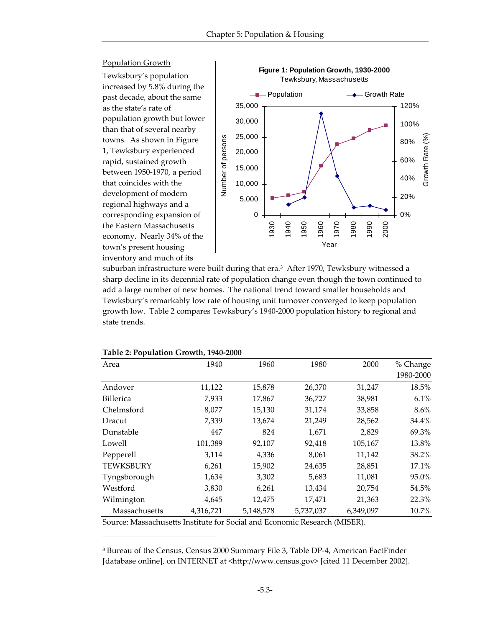

suburban infrastructure were built during that era.<sup>3</sup> After 1970, Tewksbury witnessed a sharp decline in its decennial rate of population change even though the town continued to add a large number of new homes. The national trend toward smaller households and Tewksbury's remarkably low rate of housing unit turnover converged to keep population growth low. Table 2 compares Tewksbury's 1940-2000 population history to regional and state trends.

| 1940      | 1960      | 1980      | 2000      | % Change  |
|-----------|-----------|-----------|-----------|-----------|
|           |           |           |           | 1980-2000 |
| 11,122    | 15,878    | 26,370    | 31,247    | 18.5%     |
| 7,933     | 17,867    | 36,727    | 38,981    | 6.1%      |
| 8,077     | 15,130    | 31,174    | 33,858    | $8.6\%$   |
| 7,339     | 13,674    | 21,249    | 28,562    | 34.4%     |
| 447       | 824       | 1,671     | 2,829     | 69.3%     |
| 101,389   | 92,107    | 92,418    | 105,167   | 13.8%     |
| 3,114     | 4,336     | 8,061     | 11,142    | 38.2%     |
| 6,261     | 15,902    | 24,635    | 28,851    | 17.1%     |
| 1,634     | 3,302     | 5,683     | 11,081    | 95.0%     |
| 3,830     | 6,261     | 13,434    | 20,754    | 54.5%     |
| 4,645     | 12,475    | 17,471    | 21,363    | 22.3%     |
| 4,316,721 | 5,148,578 | 5,737,037 | 6,349,097 | 10.7%     |
|           |           |           |           |           |

| Table 2: Population Growth, 1940-2000 |  |  |  |
|---------------------------------------|--|--|--|
|---------------------------------------|--|--|--|

-

Source: Massachusetts Institute for Social and Economic Research (MISER).

<sup>3</sup> Bureau of the Census, Census 2000 Summary File 3, Table DP-4, American FactFinder [database online], on INTERNET at <http://www.census.gov> [cited 11 December 2002].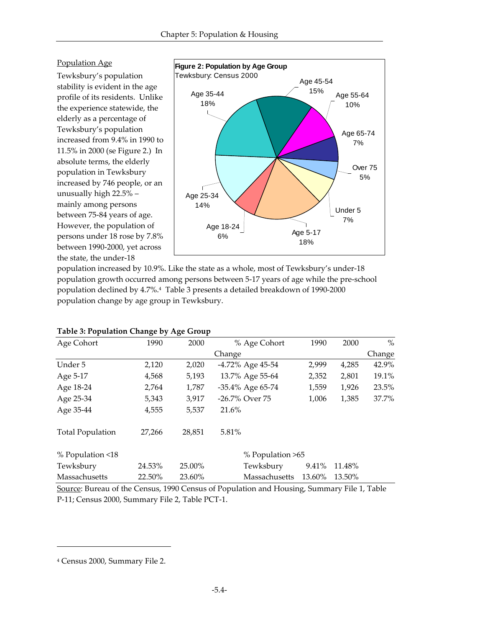## Population Age

Tewksbury's population stability is evident in the age profile of its residents. Unlike the experience statewide, the elderly as a percentage of Tewksbury's population increased from 9.4% in 1990 to 11.5% in 2000 (se Figure 2.) In absolute terms, the elderly population in Tewksbury increased by 746 people, or an unusually high 22.5% – mainly among persons between 75-84 years of age. However, the population of persons under 18 rose by 7.8% between 1990-2000, yet across the state, the under-18



population increased by 10.9%. Like the state as a whole, most of Tewksbury's under-18 population growth occurred among persons between 5-17 years of age while the pre-school population declined by 4.7%.<sup>4</sup> Table 3 presents a detailed breakdown of 1990-2000 population change by age group in Tewksbury.

| Age Cohort              | 1990   | 2000   | % Age Cohort     | 1990   | 2000   | $\%$   |
|-------------------------|--------|--------|------------------|--------|--------|--------|
|                         |        |        | Change           |        |        | Change |
| Under 5                 | 2,120  | 2,020  | -4.72% Age 45-54 | 2,999  | 4,285  | 42.9%  |
| Age 5-17                | 4,568  | 5,193  | 13.7% Age 55-64  | 2,352  | 2,801  | 19.1%  |
| Age 18-24               | 2,764  | 1,787  | -35.4% Age 65-74 | 1,559  | 1,926  | 23.5%  |
| Age 25-34               | 5,343  | 3,917  | -26.7% Over 75   | 1,006  | 1,385  | 37.7%  |
| Age 35-44               | 4,555  | 5,537  | 21.6%            |        |        |        |
| <b>Total Population</b> | 27,266 | 28,851 | 5.81%            |        |        |        |
| % Population <18        |        |        | % Population >65 |        |        |        |
| Tewksbury               | 24.53% | 25.00% | Tewksbury        | 9.41%  | 11.48% |        |
| Massachusetts           | 22.50% | 23.60% | Massachusetts    | 13.60% | 13.50% |        |

Source: Bureau of the Census, 1990 Census of Population and Housing, Summary File 1, Table P-11; Census 2000, Summary File 2, Table PCT-1.

 $\overline{a}$ 

<sup>4</sup> Census 2000, Summary File 2.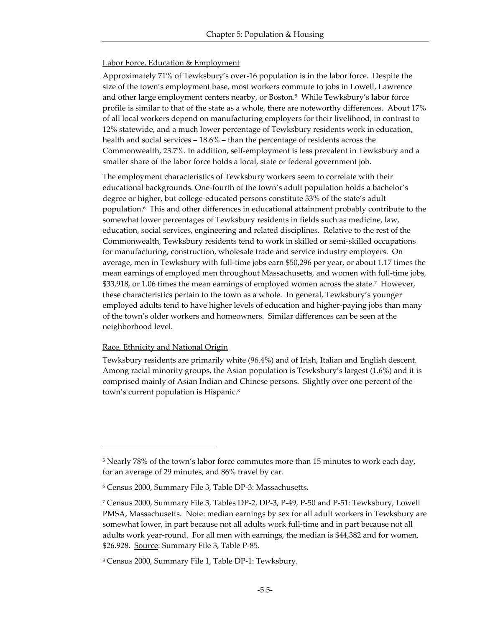#### **Labor Force, Education & Employment**

Approximately 71% of Tewksbury's over-16 population is in the labor force. Despite the size of the town's employment base, most workers commute to jobs in Lowell, Lawrence and other large employment centers nearby, or Boston.<sup>5</sup> While Tewksbury's labor force profile is similar to that of the state as a whole, there are noteworthy differences. About 17% of all local workers depend on manufacturing employers for their livelihood, in contrast to 12% statewide, and a much lower percentage of Tewksbury residents work in education, health and social services – 18.6% – than the percentage of residents across the Commonwealth, 23.7%. In addition, self-employment is less prevalent in Tewksbury and a smaller share of the labor force holds a local, state or federal government job.

The employment characteristics of Tewksbury workers seem to correlate with their educational backgrounds. One-fourth of the town's adult population holds a bachelor's degree or higher, but college-educated persons constitute 33% of the state's adult population.<sup>6</sup> This and other differences in educational attainment probably contribute to the somewhat lower percentages of Tewksbury residents in fields such as medicine, law, education, social services, engineering and related disciplines. Relative to the rest of the Commonwealth, Tewksbury residents tend to work in skilled or semi-skilled occupations for manufacturing, construction, wholesale trade and service industry employers. On average, men in Tewksbury with full-time jobs earn \$50,296 per year, or about 1.17 times the mean earnings of employed men throughout Massachusetts, and women with full-time jobs, \$33,918, or 1.06 times the mean earnings of employed women across the state.<sup>7</sup> However, these characteristics pertain to the town as a whole. In general, Tewksbury's younger employed adults tend to have higher levels of education and higher-paying jobs than many of the town's older workers and homeowners. Similar differences can be seen at the neighborhood level.

#### Race, Ethnicity and National Origin

-

Tewksbury residents are primarily white (96.4%) and of Irish, Italian and English descent. Among racial minority groups, the Asian population is Tewksbury's largest (1.6%) and it is comprised mainly of Asian Indian and Chinese persons. Slightly over one percent of the town's current population is Hispanic.<sup>8</sup>

<sup>5</sup> Nearly 78% of the town's labor force commutes more than 15 minutes to work each day, for an average of 29 minutes, and 86% travel by car.

<sup>6</sup> Census 2000, Summary File 3, Table DP-3: Massachusetts.

<sup>7</sup> Census 2000, Summary File 3, Tables DP-2, DP-3, P-49, P-50 and P-51: Tewksbury, Lowell PMSA, Massachusetts. Note: median earnings by sex for all adult workers in Tewksbury are somewhat lower, in part because not all adults work full-time and in part because not all adults work year-round. For all men with earnings, the median is \$44,382 and for women, \$26.928. Source: Summary File 3, Table P-85.

<sup>8</sup> Census 2000, Summary File 1, Table DP-1: Tewksbury.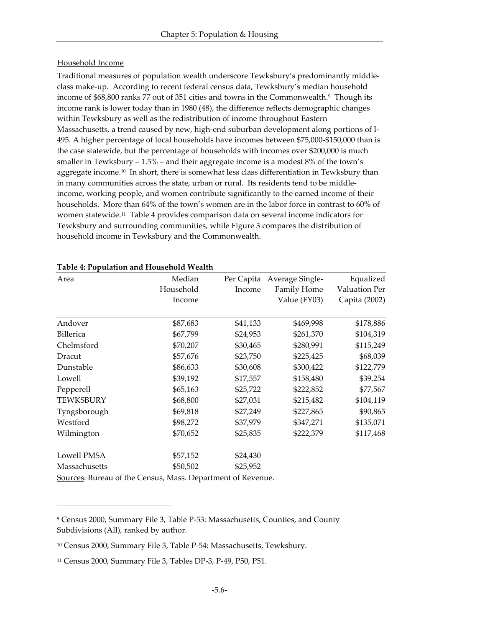#### Household Income

Traditional measures of population wealth underscore Tewksbury's predominantly middleclass make-up. According to recent federal census data, Tewksbury's median household income of \$68,800 ranks 77 out of 351 cities and towns in the Commonwealth.<sup>9</sup> Though its income rank is lower today than in 1980 (48), the difference reflects demographic changes within Tewksbury as well as the redistribution of income throughout Eastern Massachusetts, a trend caused by new, high-end suburban development along portions of I-495. A higher percentage of local households have incomes between \$75,000-\$150,000 than is the case statewide, but the percentage of households with incomes over \$200,000 is much smaller in Tewksbury – 1.5% – and their aggregate income is a modest 8% of the town's aggregate income.10 In short, there is somewhat less class differentiation in Tewksbury than in many communities across the state, urban or rural. Its residents tend to be middleincome, working people, and women contribute significantly to the earned income of their households. More than 64% of the town's women are in the labor force in contrast to 60% of women statewide.11 Table 4 provides comparison data on several income indicators for Tewksbury and surrounding communities, while Figure 3 compares the distribution of household income in Tewksbury and the Commonwealth.

| Area             | Median    | Per Capita | Average Single- | Equalized     |
|------------------|-----------|------------|-----------------|---------------|
|                  | Household | Income     | Family Home     | Valuation Per |
|                  | Income    |            | Value (FY03)    | Capita (2002) |
|                  |           |            |                 |               |
| Andover          | \$87,683  | \$41,133   | \$469,998       | \$178,886     |
| <b>Billerica</b> | \$67,799  | \$24,953   | \$261,370       | \$104,319     |
| Chelmsford       | \$70,207  | \$30,465   | \$280,991       | \$115,249     |
| Dracut           | \$57,676  | \$23,750   | \$225,425       | \$68,039      |
| Dunstable        | \$86,633  | \$30,608   | \$300,422       | \$122,779     |
| Lowell           | \$39,192  | \$17,557   | \$158,480       | \$39,254      |
| Pepperell        | \$65,163  | \$25,722   | \$222,852       | \$77,567      |
| <b>TEWKSBURY</b> | \$68,800  | \$27,031   | \$215,482       | \$104,119     |
| Tyngsborough     | \$69,818  | \$27,249   | \$227,865       | \$90,865      |
| Westford         | \$98,272  | \$37,979   | \$347,271       | \$135,071     |
| Wilmington       | \$70,652  | \$25,835   | \$222,379       | \$117,468     |
| Lowell PMSA      | \$57,152  | \$24,430   |                 |               |
| Massachusetts    | \$50,502  | \$25,952   |                 |               |

#### **Table 4: Population and Household Wealth**

Sources: Bureau of the Census, Mass. Department of Revenue.

 $\overline{a}$ 

<sup>9</sup> Census 2000, Summary File 3, Table P-53: Massachusetts, Counties, and County Subdivisions (All), ranked by author.

<sup>10</sup> Census 2000, Summary File 3, Table P-54: Massachusetts, Tewksbury.

<sup>11</sup> Census 2000, Summary File 3, Tables DP-3, P-49, P50, P51.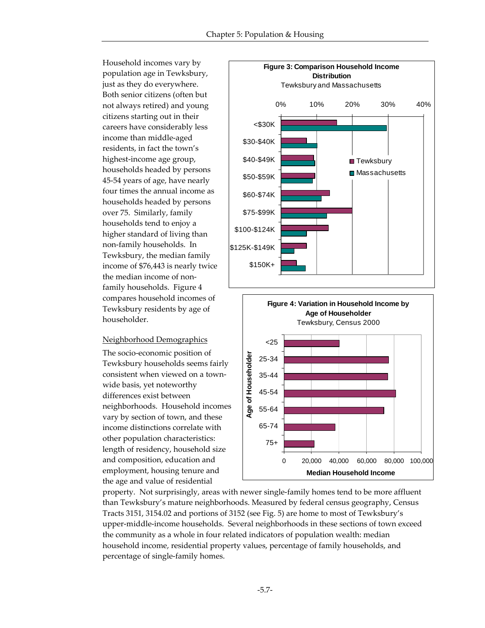Household incomes vary by population age in Tewksbury, just as they do everywhere. Both senior citizens (often but not always retired) and young citizens starting out in their careers have considerably less income than middle-aged residents, in fact the town's highest-income age group, households headed by persons 45-54 years of age, have nearly four times the annual income as households headed by persons over 75. Similarly, family households tend to enjoy a higher standard of living than non-family households. In Tewksbury, the median family income of \$76,443 is nearly twice the median income of nonfamily households. Figure 4 compares household incomes of Tewksbury residents by age of householder.

#### Neighborhood Demographics

The socio-economic position of Tewksbury households seems fairly consistent when viewed on a townwide basis, yet noteworthy differences exist between neighborhoods. Household incomes vary by section of town, and these income distinctions correlate with other population characteristics: length of residency, household size and composition, education and employment, housing tenure and the age and value of residential



property. Not surprisingly, areas with newer single-family homes tend to be more affluent than Tewksbury's mature neighborhoods. Measured by federal census geography, Census Tracts 3151, 3154.02 and portions of 3152 (see Fig. 5) are home to most of Tewksbury's upper-middle-income households. Several neighborhoods in these sections of town exceed the community as a whole in four related indicators of population wealth: median household income, residential property values, percentage of family households, and percentage of single-family homes.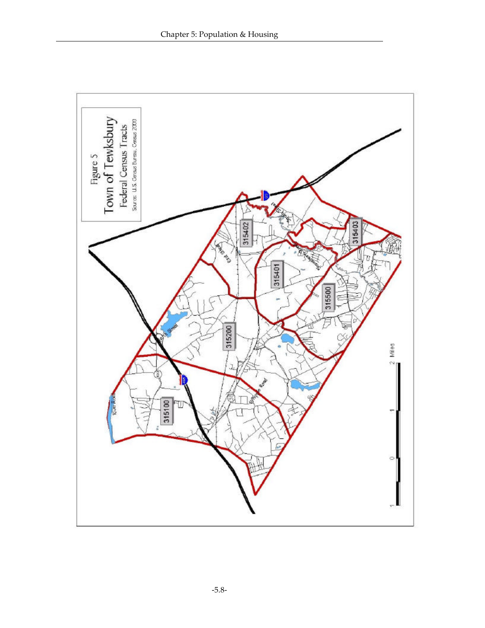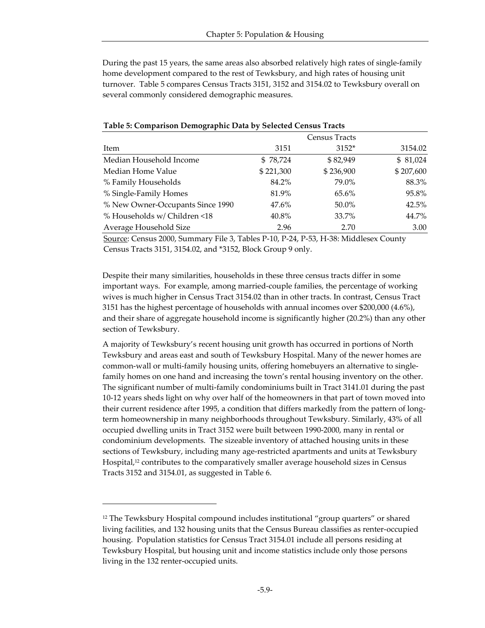During the past 15 years, the same areas also absorbed relatively high rates of single-family home development compared to the rest of Tewksbury, and high rates of housing unit turnover. Table 5 compares Census Tracts 3151, 3152 and 3154.02 to Tewksbury overall on several commonly considered demographic measures.

|                                  |           | <b>Census Tracts</b> |           |
|----------------------------------|-----------|----------------------|-----------|
| Item                             | 3151      | $3152*$              | 3154.02   |
| Median Household Income          | \$78,724  | \$82,949             | \$81,024  |
| Median Home Value                | \$221,300 | \$236,900            | \$207,600 |
| % Family Households              | 84.2%     | 79.0%                | 88.3%     |
| % Single-Family Homes            | 81.9%     | 65.6%                | 95.8%     |
| % New Owner-Occupants Since 1990 | 47.6%     | 50.0%                | 42.5%     |
| % Households w/ Children <18     | 40.8%     | 33.7%                | 44.7%     |
| Average Household Size           | 2.96      | 2.70                 | 3.00      |

#### **Table 5: Comparison Demographic Data by Selected Census Tracts**

Source: Census 2000, Summary File 3, Tables P-10, P-24, P-53, H-38: Middlesex County Census Tracts 3151, 3154.02, and \*3152, Block Group 9 only.

Despite their many similarities, households in these three census tracts differ in some important ways. For example, among married-couple families, the percentage of working wives is much higher in Census Tract 3154.02 than in other tracts. In contrast, Census Tract 3151 has the highest percentage of households with annual incomes over \$200,000 (4.6%), and their share of aggregate household income is significantly higher (20.2%) than any other section of Tewksbury.

A majority of Tewksbury's recent housing unit growth has occurred in portions of North Tewksbury and areas east and south of Tewksbury Hospital. Many of the newer homes are common-wall or multi-family housing units, offering homebuyers an alternative to singlefamily homes on one hand and increasing the town's rental housing inventory on the other. The significant number of multi-family condominiums built in Tract 3141.01 during the past 10-12 years sheds light on why over half of the homeowners in that part of town moved into their current residence after 1995, a condition that differs markedly from the pattern of longterm homeownership in many neighborhoods throughout Tewksbury. Similarly, 43% of all occupied dwelling units in Tract 3152 were built between 1990-2000, many in rental or condominium developments. The sizeable inventory of attached housing units in these sections of Tewksbury, including many age-restricted apartments and units at Tewksbury Hospital,<sup>12</sup> contributes to the comparatively smaller average household sizes in Census Tracts 3152 and 3154.01, as suggested in Table 6.

-

<sup>12</sup> The Tewksbury Hospital compound includes institutional "group quarters" or shared living facilities, and 132 housing units that the Census Bureau classifies as renter-occupied housing. Population statistics for Census Tract 3154.01 include all persons residing at Tewksbury Hospital, but housing unit and income statistics include only those persons living in the 132 renter-occupied units.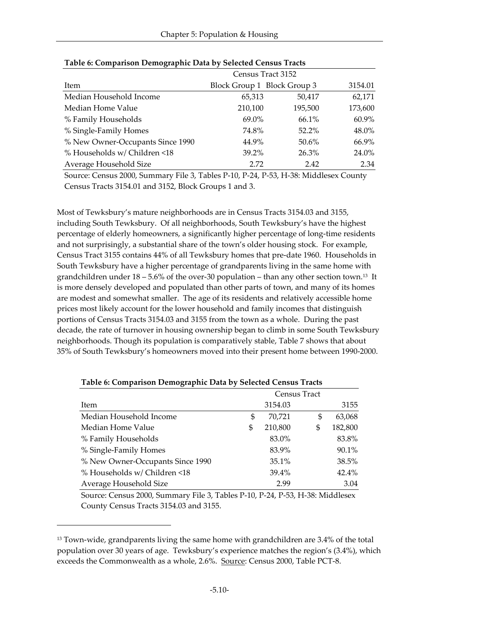|                                  | Census Tract 3152           |          |         |  |  |
|----------------------------------|-----------------------------|----------|---------|--|--|
| Item                             | Block Group 1 Block Group 3 |          | 3154.01 |  |  |
| Median Household Income          | 65,313                      | 50,417   | 62,171  |  |  |
| Median Home Value                | 210,100                     | 195,500  | 173,600 |  |  |
| % Family Households              | 69.0%                       | 66.1%    | 60.9%   |  |  |
| % Single-Family Homes            | 74.8%                       | $52.2\%$ | 48.0%   |  |  |
| % New Owner-Occupants Since 1990 | 44.9%                       | 50.6%    | 66.9%   |  |  |
| % Households w/ Children <18     | $39.2\%$                    | 26.3%    | 24.0%   |  |  |
| Average Household Size           | 2.72                        | 2.42     | 2.34    |  |  |

|  |  | Table 6: Comparison Demographic Data by Selected Census Tracts |
|--|--|----------------------------------------------------------------|
|  |  |                                                                |

Source: Census 2000, Summary File 3, Tables P-10, P-24, P-53, H-38: Middlesex County Census Tracts 3154.01 and 3152, Block Groups 1 and 3.

Most of Tewksbury's mature neighborhoods are in Census Tracts 3154.03 and 3155, including South Tewksbury. Of all neighborhoods, South Tewksbury's have the highest percentage of elderly homeowners, a significantly higher percentage of long-time residents and not surprisingly, a substantial share of the town's older housing stock. For example, Census Tract 3155 contains 44% of all Tewksbury homes that pre-date 1960. Households in South Tewksbury have a higher percentage of grandparents living in the same home with grandchildren under  $18 - 5.6\%$  of the over-30 population – than any other section town.<sup>13</sup> It is more densely developed and populated than other parts of town, and many of its homes are modest and somewhat smaller. The age of its residents and relatively accessible home prices most likely account for the lower household and family incomes that distinguish portions of Census Tracts 3154.03 and 3155 from the town as a whole. During the past decade, the rate of turnover in housing ownership began to climb in some South Tewksbury neighborhoods. Though its population is comparatively stable, Table 7 shows that about 35% of South Tewksbury's homeowners moved into their present home between 1990-2000.

| Census Tract                     |    |         |    |          |
|----------------------------------|----|---------|----|----------|
| Item                             |    | 3154.03 |    | 3155     |
| Median Household Income          | \$ | 70.721  | \$ | 63,068   |
| Median Home Value                | \$ | 210,800 | \$ | 182,800  |
| % Family Households              |    | 83.0%   |    | 83.8%    |
| % Single-Family Homes            |    | 83.9%   |    | 90.1%    |
| % New Owner-Occupants Since 1990 |    | 35.1%   |    | 38.5%    |
| % Households w/ Children <18     |    | 39.4%   |    | $42.4\%$ |
| Average Household Size           |    | 2.99    |    | 3.04     |

#### **Table 6: Comparison Demographic Data by Selected Census Tracts**

Source: Census 2000, Summary File 3, Tables P-10, P-24, P-53, H-38: Middlesex County Census Tracts 3154.03 and 3155.

 $\overline{a}$ 

<sup>&</sup>lt;sup>13</sup> Town-wide, grandparents living the same home with grandchildren are 3.4% of the total population over 30 years of age. Tewksbury's experience matches the region's (3.4%), which exceeds the Commonwealth as a whole, 2.6%. Source: Census 2000, Table PCT-8.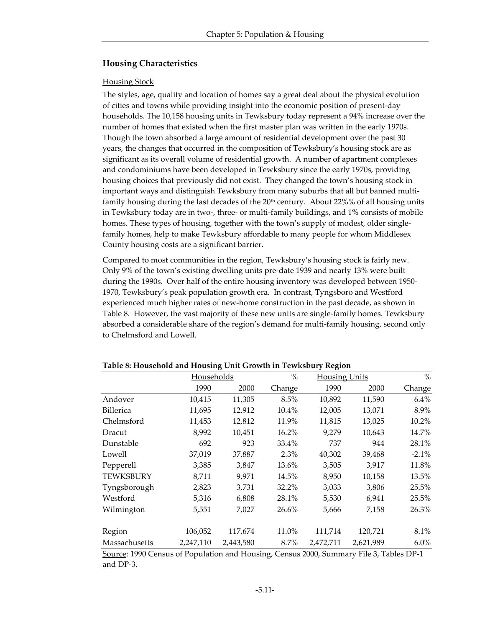## **Housing Characteristics**

#### Housing Stock

The styles, age, quality and location of homes say a great deal about the physical evolution of cities and towns while providing insight into the economic position of present-day households. The 10,158 housing units in Tewksbury today represent a 94% increase over the number of homes that existed when the first master plan was written in the early 1970s. Though the town absorbed a large amount of residential development over the past 30 years, the changes that occurred in the composition of Tewksbury's housing stock are as significant as its overall volume of residential growth. A number of apartment complexes and condominiums have been developed in Tewksbury since the early 1970s, providing housing choices that previously did not exist. They changed the town's housing stock in important ways and distinguish Tewksbury from many suburbs that all but banned multifamily housing during the last decades of the  $20<sup>th</sup>$  century. About 22%% of all housing units in Tewksbury today are in two-, three- or multi-family buildings, and 1% consists of mobile homes. These types of housing, together with the town's supply of modest, older singlefamily homes, help to make Tewksbury affordable to many people for whom Middlesex County housing costs are a significant barrier.

Compared to most communities in the region, Tewksbury's housing stock is fairly new. Only 9% of the town's existing dwelling units pre-date 1939 and nearly 13% were built during the 1990s. Over half of the entire housing inventory was developed between 1950- 1970, Tewksbury's peak population growth era. In contrast, Tyngsboro and Westford experienced much higher rates of new-home construction in the past decade, as shown in Table 8. However, the vast majority of these new units are single-family homes. Tewksbury absorbed a considerable share of the region's demand for multi-family housing, second only to Chelmsford and Lowell.

|                  | <b>Households</b> |           | $\%$    | <b>Housing Units</b> |           | $\%$    |  |
|------------------|-------------------|-----------|---------|----------------------|-----------|---------|--|
|                  | 1990              | 2000      | Change  | 1990                 | 2000      | Change  |  |
| Andover          | 10,415            | 11,305    | 8.5%    | 10,892               | 11,590    | 6.4%    |  |
| <b>Billerica</b> | 11,695            | 12,912    | 10.4%   | 12,005               | 13,071    | 8.9%    |  |
| Chelmsford       | 11,453            | 12,812    | 11.9%   | 11,815               | 13,025    | 10.2%   |  |
| Dracut           | 8,992             | 10,451    | 16.2%   | 9,279                | 10,643    | 14.7%   |  |
| Dunstable        | 692               | 923       | 33.4%   | 737                  | 944       | 28.1%   |  |
| Lowell           | 37,019            | 37,887    | $2.3\%$ | 40,302               | 39,468    | $-2.1%$ |  |
| Pepperell        | 3,385             | 3,847     | 13.6%   | 3,505                | 3,917     | 11.8%   |  |
| <b>TEWKSBURY</b> | 8,711             | 9,971     | 14.5%   | 8,950                | 10,158    | 13.5%   |  |
| Tyngsborough     | 2,823             | 3,731     | 32.2%   | 3,033                | 3,806     | 25.5%   |  |
| Westford         | 5,316             | 6,808     | 28.1%   | 5,530                | 6,941     | 25.5%   |  |
| Wilmington       | 5,551             | 7,027     | 26.6%   | 5,666                | 7,158     | 26.3%   |  |
| Region           | 106,052           | 117,674   | 11.0%   | 111,714              | 120,721   | 8.1%    |  |
| Massachusetts    | 2,247,110         | 2,443,580 | 8.7%    | 2,472,711            | 2,621,989 | 6.0%    |  |

#### **Table 8: Household and Housing Unit Growth in Tewksbury Region**

Source: 1990 Census of Population and Housing, Census 2000, Summary File 3, Tables DP-1 and DP-3.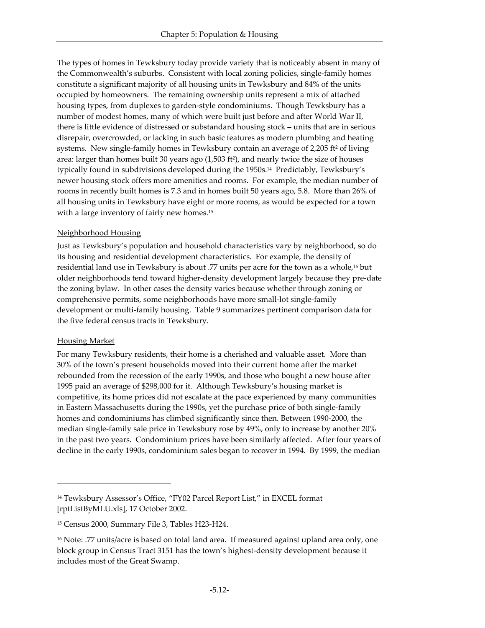The types of homes in Tewksbury today provide variety that is noticeably absent in many of the Commonwealth's suburbs. Consistent with local zoning policies, single-family homes constitute a significant majority of all housing units in Tewksbury and 84% of the units occupied by homeowners. The remaining ownership units represent a mix of attached housing types, from duplexes to garden-style condominiums. Though Tewksbury has a number of modest homes, many of which were built just before and after World War II, there is little evidence of distressed or substandard housing stock – units that are in serious disrepair, overcrowded, or lacking in such basic features as modern plumbing and heating systems. New single-family homes in Tewksbury contain an average of  $2,205$  ft<sup>2</sup> of living area: larger than homes built 30 years ago (1,503 ft<sup>2</sup> ), and nearly twice the size of houses typically found in subdivisions developed during the 1950s.14 Predictably, Tewksbury's newer housing stock offers more amenities and rooms. For example, the median number of rooms in recently built homes is 7.3 and in homes built 50 years ago, 5.8. More than 26% of all housing units in Tewksbury have eight or more rooms, as would be expected for a town with a large inventory of fairly new homes.<sup>15</sup>

## Neighborhood Housing

Just as Tewksbury's population and household characteristics vary by neighborhood, so do its housing and residential development characteristics. For example, the density of residential land use in Tewksbury is about .77 units per acre for the town as a whole,16 but older neighborhoods tend toward higher-density development largely because they pre-date the zoning bylaw. In other cases the density varies because whether through zoning or comprehensive permits, some neighborhoods have more small-lot single-family development or multi-family housing. Table 9 summarizes pertinent comparison data for the five federal census tracts in Tewksbury.

## Housing Market

-

For many Tewksbury residents, their home is a cherished and valuable asset. More than 30% of the town's present households moved into their current home after the market rebounded from the recession of the early 1990s, and those who bought a new house after 1995 paid an average of \$298,000 for it. Although Tewksbury's housing market is competitive, its home prices did not escalate at the pace experienced by many communities in Eastern Massachusetts during the 1990s, yet the purchase price of both single-family homes and condominiums has climbed significantly since then. Between 1990-2000, the median single-family sale price in Tewksbury rose by 49%, only to increase by another 20% in the past two years. Condominium prices have been similarly affected. After four years of decline in the early 1990s, condominium sales began to recover in 1994. By 1999, the median

<sup>14</sup> Tewksbury Assessor's Office, "FY02 Parcel Report List," in EXCEL format [rptListByMLU.xls], 17 October 2002.

<sup>15</sup> Census 2000, Summary File 3, Tables H23-H24.

<sup>&</sup>lt;sup>16</sup> Note: .77 units/acre is based on total land area. If measured against upland area only, one block group in Census Tract 3151 has the town's highest-density development because it includes most of the Great Swamp.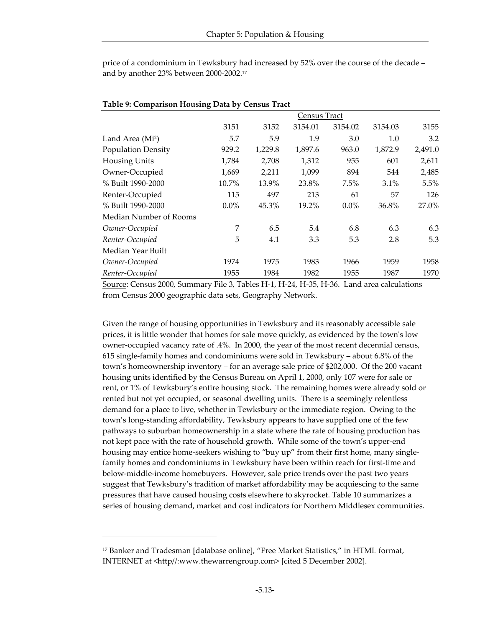price of a condominium in Tewksbury had increased by 52% over the course of the decade – and by another 23% between 2000-2002.<sup>17</sup>

|                              | Census Tract |         |         |         |         |         |
|------------------------------|--------------|---------|---------|---------|---------|---------|
|                              | 3151         | 3152    | 3154.01 | 3154.02 | 3154.03 | 3155    |
| Land Area (Mi <sup>2</sup> ) | 5.7          | 5.9     | 1.9     | 3.0     | 1.0     | 3.2     |
| <b>Population Density</b>    | 929.2        | 1,229.8 | 1,897.6 | 963.0   | 1,872.9 | 2,491.0 |
| Housing Units                | 1,784        | 2,708   | 1,312   | 955     | 601     | 2,611   |
| Owner-Occupied               | 1,669        | 2,211   | 1,099   | 894     | 544     | 2,485   |
| % Built 1990-2000            | 10.7%        | 13.9%   | 23.8%   | 7.5%    | 3.1%    | 5.5%    |
| Renter-Occupied              | 115          | 497     | 213     | 61      | 57      | 126     |
| % Built 1990-2000            | $0.0\%$      | 45.3%   | 19.2%   | $0.0\%$ | 36.8%   | 27.0%   |
| Median Number of Rooms       |              |         |         |         |         |         |
| Owner-Occupied               | 7            | 6.5     | 5.4     | 6.8     | 6.3     | 6.3     |
| Renter-Occupied              | 5            | 4.1     | 3.3     | 5.3     | 2.8     | 5.3     |
| Median Year Built            |              |         |         |         |         |         |
| Owner-Occupied               | 1974         | 1975    | 1983    | 1966    | 1959    | 1958    |
| Renter-Occupied              | 1955         | 1984    | 1982    | 1955    | 1987    | 1970    |

#### **Table 9: Comparison Housing Data by Census Tract**

Source: Census 2000, Summary File 3, Tables H-1, H-24, H-35, H-36. Land area calculations from Census 2000 geographic data sets, Geography Network.

Given the range of housing opportunities in Tewksbury and its reasonably accessible sale prices, it is little wonder that homes for sale move quickly, as evidenced by the town's low owner-occupied vacancy rate of .4%. In 2000, the year of the most recent decennial census, 615 single-family homes and condominiums were sold in Tewksbury – about 6.8% of the town's homeownership inventory – for an average sale price of \$202,000. Of the 200 vacant housing units identified by the Census Bureau on April 1, 2000, only 107 were for sale or rent, or 1% of Tewksbury's entire housing stock. The remaining homes were already sold or rented but not yet occupied, or seasonal dwelling units. There is a seemingly relentless demand for a place to live, whether in Tewksbury or the immediate region. Owing to the town's long-standing affordability, Tewksbury appears to have supplied one of the few pathways to suburban homeownership in a state where the rate of housing production has not kept pace with the rate of household growth. While some of the town's upper-end housing may entice home-seekers wishing to "buy up" from their first home, many singlefamily homes and condominiums in Tewksbury have been within reach for first-time and below-middle-income homebuyers. However, sale price trends over the past two years suggest that Tewksbury's tradition of market affordability may be acquiescing to the same pressures that have caused housing costs elsewhere to skyrocket. Table 10 summarizes a series of housing demand, market and cost indicators for Northern Middlesex communities.

-

<sup>&</sup>lt;sup>17</sup> Banker and Tradesman [database online], "Free Market Statistics," in HTML format, INTERNET at <http//:www.thewarrengroup.com> [cited 5 December 2002].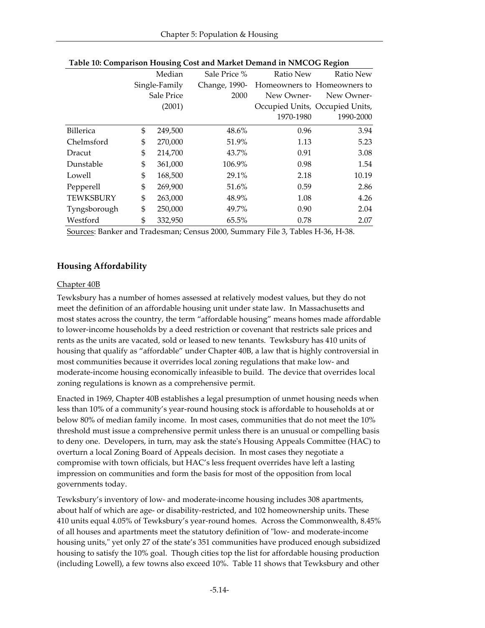| л.               |                             | ັ       |               |            | ັ                               |
|------------------|-----------------------------|---------|---------------|------------|---------------------------------|
|                  |                             | Median  | Sale Price %  | Ratio New  | Ratio New                       |
|                  | Single-Family<br>Sale Price |         | Change, 1990- |            | Homeowners to Homeowners to     |
|                  |                             |         | 2000          | New Owner- | New Owner-                      |
|                  |                             | (2001)  |               |            | Occupied Units, Occupied Units, |
|                  |                             |         |               | 1970-1980  | 1990-2000                       |
| <b>Billerica</b> | \$                          | 249,500 | 48.6%         | 0.96       | 3.94                            |
| Chelmsford       | \$                          | 270,000 | 51.9%         | 1.13       | 5.23                            |
| Dracut           | \$                          | 214,700 | 43.7%         | 0.91       | 3.08                            |
| Dunstable        | \$                          | 361,000 | 106.9%        | 0.98       | 1.54                            |
| Lowell           | \$                          | 168,500 | 29.1%         | 2.18       | 10.19                           |
| Pepperell        | \$                          | 269,900 | 51.6%         | 0.59       | 2.86                            |
| <b>TEWKSBURY</b> | \$                          | 263,000 | 48.9%         | 1.08       | 4.26                            |
| Tyngsborough     | \$                          | 250,000 | 49.7%         | 0.90       | 2.04                            |
| Westford         | \$                          | 332,950 | 65.5%         | 0.78       | 2.07                            |

|  | Table 10: Comparison Housing Cost and Market Demand in NMCOG Region |  |
|--|---------------------------------------------------------------------|--|
|  |                                                                     |  |

Sources: Banker and Tradesman; Census 2000, Summary File 3, Tables H-36, H-38.

# **Housing Affordability**

## Chapter 40B

Tewksbury has a number of homes assessed at relatively modest values, but they do not meet the definition of an affordable housing unit under state law. In Massachusetts and most states across the country, the term "affordable housing" means homes made affordable to lower-income households by a deed restriction or covenant that restricts sale prices and rents as the units are vacated, sold or leased to new tenants. Tewksbury has 410 units of housing that qualify as "affordable" under Chapter 40B, a law that is highly controversial in most communities because it overrides local zoning regulations that make low- and moderate-income housing economically infeasible to build. The device that overrides local zoning regulations is known as a comprehensive permit.

Enacted in 1969, Chapter 40B establishes a legal presumption of unmet housing needs when less than 10% of a community's year-round housing stock is affordable to households at or below 80% of median family income. In most cases, communities that do not meet the 10% threshold must issue a comprehensive permit unless there is an unusual or compelling basis to deny one. Developers, in turn, may ask the state's Housing Appeals Committee (HAC) to overturn a local Zoning Board of Appeals decision. In most cases they negotiate a compromise with town officials, but HAC's less frequent overrides have left a lasting impression on communities and form the basis for most of the opposition from local governments today.

Tewksbury's inventory of low- and moderate-income housing includes 308 apartments, about half of which are age- or disability-restricted, and 102 homeownership units. These 410 units equal 4.05% of Tewksbury's year-round homes. Across the Commonwealth, 8.45% of all houses and apartments meet the statutory definition of "low- and moderate-income housing units," yet only 27 of the state's 351 communities have produced enough subsidized housing to satisfy the 10% goal. Though cities top the list for affordable housing production (including Lowell), a few towns also exceed 10%. Table 11 shows that Tewksbury and other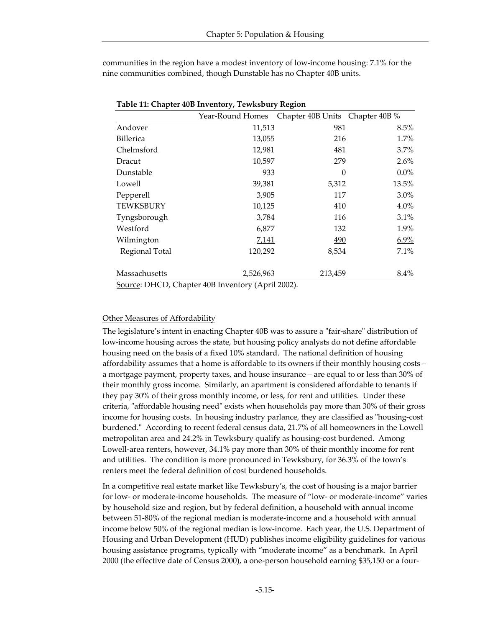communities in the region have a modest inventory of low-income housing: 7.1% for the nine communities combined, though Dunstable has no Chapter 40B units.

|                  | Year-Round Homes | Chapter 40B Units Chapter 40B % |         |
|------------------|------------------|---------------------------------|---------|
| Andover          | 11,513           | 981                             | 8.5%    |
| Billerica        | 13,055           | 216                             | 1.7%    |
| Chelmsford       | 12,981           | 481                             | 3.7%    |
| Dracut           | 10,597           | 279                             | 2.6%    |
| Dunstable        | 933              | $\theta$                        | $0.0\%$ |
| Lowell           | 39,381           | 5,312                           | 13.5%   |
| Pepperell        | 3,905            | 117                             | $3.0\%$ |
| <b>TEWKSBURY</b> | 10,125           | 410                             | 4.0%    |
| Tyngsborough     | 3,784            | 116                             | $3.1\%$ |
| Westford         | 6,877            | 132                             | 1.9%    |
| Wilmington       | <u>7,141</u>     | 490                             | 6.9%    |
| Regional Total   | 120,292          | 8,534                           | 7.1%    |
| Massachusetts    | 2,526,963        | 213,459                         | $8.4\%$ |

| Table 11: Chapter 40B Inventory, Tewksbury Region |  |  |  |  |  |
|---------------------------------------------------|--|--|--|--|--|
|---------------------------------------------------|--|--|--|--|--|

Source: DHCD, Chapter 40B Inventory (April 2002).

#### Other Measures of Affordability

The legislature's intent in enacting Chapter 40B was to assure a "fair-share" distribution of low-income housing across the state, but housing policy analysts do not define affordable housing need on the basis of a fixed 10% standard. The national definition of housing affordability assumes that a home is affordable to its owners if their monthly housing costs – a mortgage payment, property taxes, and house insurance – are equal to or less than 30% of their monthly gross income. Similarly, an apartment is considered affordable to tenants if they pay 30% of their gross monthly income, or less, for rent and utilities. Under these criteria, "affordable housing need" exists when households pay more than 30% of their gross income for housing costs. In housing industry parlance, they are classified as "housing-cost burdened." According to recent federal census data, 21.7% of all homeowners in the Lowell metropolitan area and 24.2% in Tewksbury qualify as housing-cost burdened. Among Lowell-area renters, however, 34.1% pay more than 30% of their monthly income for rent and utilities. The condition is more pronounced in Tewksbury, for 36.3% of the town's renters meet the federal definition of cost burdened households.

In a competitive real estate market like Tewksbury's, the cost of housing is a major barrier for low- or moderate-income households. The measure of "low- or moderate-income" varies by household size and region, but by federal definition, a household with annual income between 51-80% of the regional median is moderate-income and a household with annual income below 50% of the regional median is low-income. Each year, the U.S. Department of Housing and Urban Development (HUD) publishes income eligibility guidelines for various housing assistance programs, typically with "moderate income" as a benchmark. In April 2000 (the effective date of Census 2000), a one-person household earning \$35,150 or a four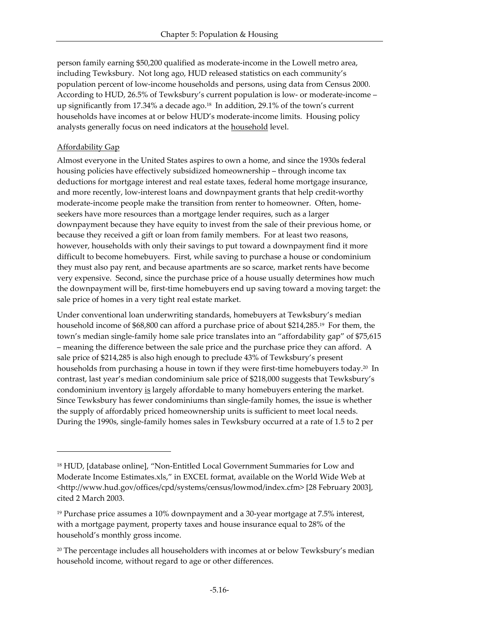person family earning \$50,200 qualified as moderate-income in the Lowell metro area, including Tewksbury. Not long ago, HUD released statistics on each community's population percent of low-income households and persons, using data from Census 2000. According to HUD, 26.5% of Tewksbury's current population is low- or moderate-income – up significantly from 17.34% a decade ago.18 In addition, 29.1% of the town's current households have incomes at or below HUD's moderate-income limits. Housing policy analysts generally focus on need indicators at the household level.

## Affordability Gap

-

Almost everyone in the United States aspires to own a home, and since the 1930s federal housing policies have effectively subsidized homeownership – through income tax deductions for mortgage interest and real estate taxes, federal home mortgage insurance, and more recently, low-interest loans and downpayment grants that help credit-worthy moderate-income people make the transition from renter to homeowner. Often, homeseekers have more resources than a mortgage lender requires, such as a larger downpayment because they have equity to invest from the sale of their previous home, or because they received a gift or loan from family members. For at least two reasons, however, households with only their savings to put toward a downpayment find it more difficult to become homebuyers. First, while saving to purchase a house or condominium they must also pay rent, and because apartments are so scarce, market rents have become very expensive. Second, since the purchase price of a house usually determines how much the downpayment will be, first-time homebuyers end up saving toward a moving target: the sale price of homes in a very tight real estate market.

Under conventional loan underwriting standards, homebuyers at Tewksbury's median household income of \$68,800 can afford a purchase price of about \$214,285.19 For them, the town's median single-family home sale price translates into an "affordability gap" of \$75,615 – meaning the difference between the sale price and the purchase price they can afford. A sale price of \$214,285 is also high enough to preclude 43% of Tewksbury's present households from purchasing a house in town if they were first-time homebuyers today.<sup>20</sup> In contrast, last year's median condominium sale price of \$218,000 suggests that Tewksbury's condominium inventory is largely affordable to many homebuyers entering the market. Since Tewksbury has fewer condominiums than single-family homes, the issue is whether the supply of affordably priced homeownership units is sufficient to meet local needs. During the 1990s, single-family homes sales in Tewksbury occurred at a rate of 1.5 to 2 per

<sup>18</sup> HUD, [database online], "Non-Entitled Local Government Summaries for Low and Moderate Income Estimates.xls," in EXCEL format, available on the World Wide Web at <http://www.hud.gov/offices/cpd/systems/census/lowmod/index.cfm> [28 February 2003], cited 2 March 2003.

<sup>19</sup> Purchase price assumes a 10% downpayment and a 30-year mortgage at 7.5% interest, with a mortgage payment, property taxes and house insurance equal to 28% of the household's monthly gross income.

 $20$  The percentage includes all householders with incomes at or below Tewksbury's median household income, without regard to age or other differences.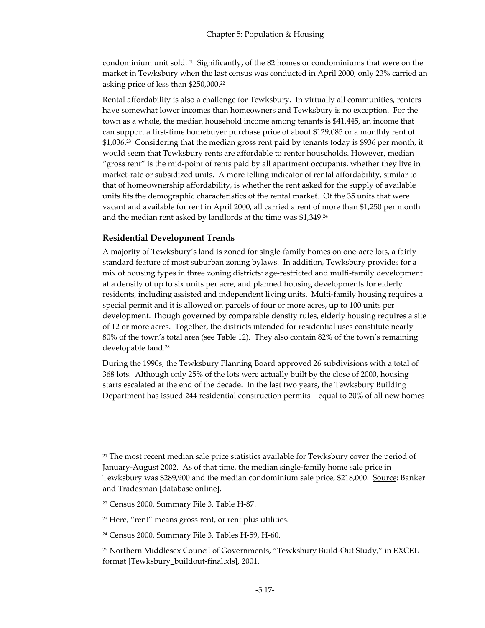condominium unit sold. <sup>21</sup> Significantly, of the 82 homes or condominiums that were on the market in Tewksbury when the last census was conducted in April 2000, only 23% carried an asking price of less than \$250,000.<sup>22</sup>

Rental affordability is also a challenge for Tewksbury. In virtually all communities, renters have somewhat lower incomes than homeowners and Tewksbury is no exception. For the town as a whole, the median household income among tenants is \$41,445, an income that can support a first-time homebuyer purchase price of about \$129,085 or a monthly rent of \$1,036.23 Considering that the median gross rent paid by tenants today is \$936 per month, it would seem that Tewksbury rents are affordable to renter households. However, median "gross rent" is the mid-point of rents paid by all apartment occupants, whether they live in market-rate or subsidized units. A more telling indicator of rental affordability, similar to that of homeownership affordability, is whether the rent asked for the supply of available units fits the demographic characteristics of the rental market. Of the 35 units that were vacant and available for rent in April 2000, all carried a rent of more than \$1,250 per month and the median rent asked by landlords at the time was \$1,349.<sup>24</sup>

## **Residential Development Trends**

A majority of Tewksbury's land is zoned for single-family homes on one-acre lots, a fairly standard feature of most suburban zoning bylaws. In addition, Tewksbury provides for a mix of housing types in three zoning districts: age-restricted and multi-family development at a density of up to six units per acre, and planned housing developments for elderly residents, including assisted and independent living units. Multi-family housing requires a special permit and it is allowed on parcels of four or more acres, up to 100 units per development. Though governed by comparable density rules, elderly housing requires a site of 12 or more acres. Together, the districts intended for residential uses constitute nearly 80% of the town's total area (see Table 12). They also contain 82% of the town's remaining developable land.<sup>25</sup>

During the 1990s, the Tewksbury Planning Board approved 26 subdivisions with a total of 368 lots. Although only 25% of the lots were actually built by the close of 2000, housing starts escalated at the end of the decade. In the last two years, the Tewksbury Building Department has issued 244 residential construction permits – equal to 20% of all new homes

-

<sup>&</sup>lt;sup>21</sup> The most recent median sale price statistics available for Tewksbury cover the period of January-August 2002. As of that time, the median single-family home sale price in Tewksbury was \$289,900 and the median condominium sale price, \$218,000. Source: Banker and Tradesman [database online].

<sup>22</sup> Census 2000, Summary File 3, Table H-87.

<sup>23</sup> Here, "rent" means gross rent, or rent plus utilities.

<sup>24</sup> Census 2000, Summary File 3, Tables H-59, H-60.

<sup>25</sup> Northern Middlesex Council of Governments, "Tewksbury Build-Out Study," in EXCEL format [Tewksbury\_buildout-final.xls], 2001.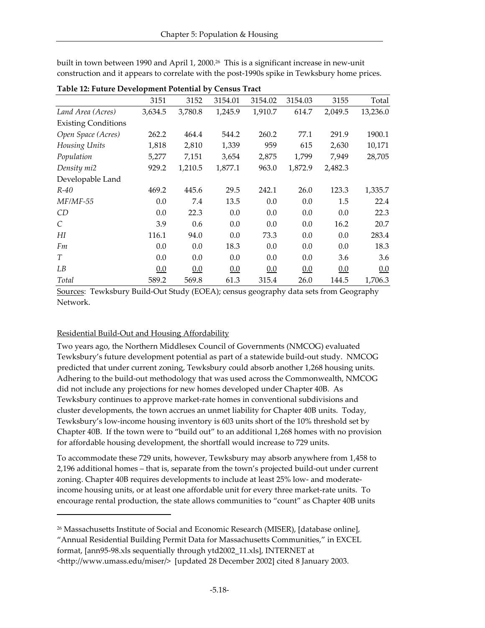| Table 12: Future Development Potential by Census Tract |         |         |         |         |         |         |          |
|--------------------------------------------------------|---------|---------|---------|---------|---------|---------|----------|
|                                                        | 3151    | 3152    | 3154.01 | 3154.02 | 3154.03 | 3155    | Total    |
| Land Area (Acres)                                      | 3,634.5 | 3,780.8 | 1,245.9 | 1,910.7 | 614.7   | 2,049.5 | 13,236.0 |
| <b>Existing Conditions</b>                             |         |         |         |         |         |         |          |
| Open Space (Acres)                                     | 262.2   | 464.4   | 544.2   | 260.2   | 77.1    | 291.9   | 1900.1   |
| Housing Units                                          | 1,818   | 2,810   | 1,339   | 959     | 615     | 2,630   | 10,171   |
| Population                                             | 5,277   | 7,151   | 3,654   | 2,875   | 1,799   | 7,949   | 28,705   |
| Density mi2                                            | 929.2   | 1,210.5 | 1,877.1 | 963.0   | 1,872.9 | 2,482.3 |          |
| Developable Land                                       |         |         |         |         |         |         |          |
| $R-40$                                                 | 469.2   | 445.6   | 29.5    | 242.1   | 26.0    | 123.3   | 1,335.7  |
| $MF/MF-55$                                             | 0.0     | 7.4     | 13.5    | 0.0     | 0.0     | 1.5     | 22.4     |
| CD                                                     | 0.0     | 22.3    | 0.0     | 0.0     | 0.0     | 0.0     | 22.3     |
| $\mathcal{C}_{0}$                                      | 3.9     | 0.6     | 0.0     | 0.0     | 0.0     | 16.2    | 20.7     |
| H                                                      | 116.1   | 94.0    | 0.0     | 73.3    | 0.0     | 0.0     | 283.4    |
| Fm                                                     | 0.0     | 0.0     | 18.3    | 0.0     | 0.0     | 0.0     | 18.3     |
| T                                                      | 0.0     | 0.0     | 0.0     | 0.0     | 0.0     | 3.6     | 3.6      |
| LB                                                     | 0.0     | 0.0     | 0.0     | 0.0     | 0.0     | 0.0     | 0.0      |
| Total                                                  | 589.2   | 569.8   | 61.3    | 315.4   | 26.0    | 144.5   | 1,706.3  |

built in town between 1990 and April 1, 2000.26 This is a significant increase in new-unit construction and it appears to correlate with the post-1990s spike in Tewksbury home prices.

Sources: Tewksbury Build-Out Study (EOEA); census geography data sets from Geography Network.

## Residential Build-Out and Housing Affordability

-

Two years ago, the Northern Middlesex Council of Governments (NMCOG) evaluated Tewksbury's future development potential as part of a statewide build-out study. NMCOG predicted that under current zoning, Tewksbury could absorb another 1,268 housing units. Adhering to the build-out methodology that was used across the Commonwealth, NMCOG did not include any projections for new homes developed under Chapter 40B. As Tewksbury continues to approve market-rate homes in conventional subdivisions and cluster developments, the town accrues an unmet liability for Chapter 40B units. Today, Tewksbury's low-income housing inventory is 603 units short of the 10% threshold set by Chapter 40B. If the town were to "build out" to an additional 1,268 homes with no provision for affordable housing development, the shortfall would increase to 729 units.

To accommodate these 729 units, however, Tewksbury may absorb anywhere from 1,458 to 2,196 additional homes – that is, separate from the town's projected build-out under current zoning. Chapter 40B requires developments to include at least 25% low- and moderateincome housing units, or at least one affordable unit for every three market-rate units. To encourage rental production, the state allows communities to "count" as Chapter 40B units

<sup>&</sup>lt;sup>26</sup> Massachusetts Institute of Social and Economic Research (MISER), [database online], "Annual Residential Building Permit Data for Massachusetts Communities," in EXCEL format, [ann95-98.xls sequentially through ytd2002\_11.xls], INTERNET at <http://www.umass.edu/miser/> [updated 28 December 2002] cited 8 January 2003.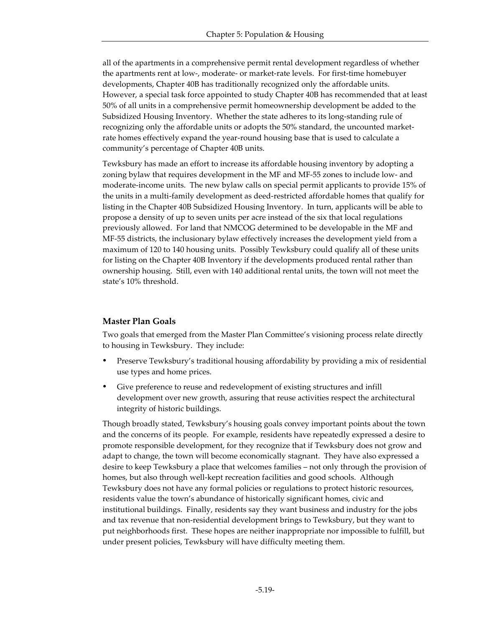all of the apartments in a comprehensive permit rental development regardless of whether the apartments rent at low-, moderate- or market-rate levels. For first-time homebuyer developments, Chapter 40B has traditionally recognized only the affordable units. However, a special task force appointed to study Chapter 40B has recommended that at least 50% of all units in a comprehensive permit homeownership development be added to the Subsidized Housing Inventory. Whether the state adheres to its long-standing rule of recognizing only the affordable units or adopts the 50% standard, the uncounted marketrate homes effectively expand the year-round housing base that is used to calculate a community's percentage of Chapter 40B units.

Tewksbury has made an effort to increase its affordable housing inventory by adopting a zoning bylaw that requires development in the MF and MF-55 zones to include low- and moderate-income units. The new bylaw calls on special permit applicants to provide 15% of the units in a multi-family development as deed-restricted affordable homes that qualify for listing in the Chapter 40B Subsidized Housing Inventory. In turn, applicants will be able to propose a density of up to seven units per acre instead of the six that local regulations previously allowed. For land that NMCOG determined to be developable in the MF and MF-55 districts, the inclusionary bylaw effectively increases the development yield from a maximum of 120 to 140 housing units. Possibly Tewksbury could qualify all of these units for listing on the Chapter 40B Inventory if the developments produced rental rather than ownership housing. Still, even with 140 additional rental units, the town will not meet the state's 10% threshold.

#### **Master Plan Goals**

Two goals that emerged from the Master Plan Committee's visioning process relate directly to housing in Tewksbury. They include:

- ü Preserve Tewksbury's traditional housing affordability by providing a mix of residential use types and home prices.
- Give preference to reuse and redevelopment of existing structures and infill development over new growth, assuring that reuse activities respect the architectural integrity of historic buildings.

Though broadly stated, Tewksbury's housing goals convey important points about the town and the concerns of its people. For example, residents have repeatedly expressed a desire to promote responsible development, for they recognize that if Tewksbury does not grow and adapt to change, the town will become economically stagnant. They have also expressed a desire to keep Tewksbury a place that welcomes families – not only through the provision of homes, but also through well-kept recreation facilities and good schools. Although Tewksbury does not have any formal policies or regulations to protect historic resources, residents value the town's abundance of historically significant homes, civic and institutional buildings. Finally, residents say they want business and industry for the jobs and tax revenue that non-residential development brings to Tewksbury, but they want to put neighborhoods first. These hopes are neither inappropriate nor impossible to fulfill, but under present policies, Tewksbury will have difficulty meeting them.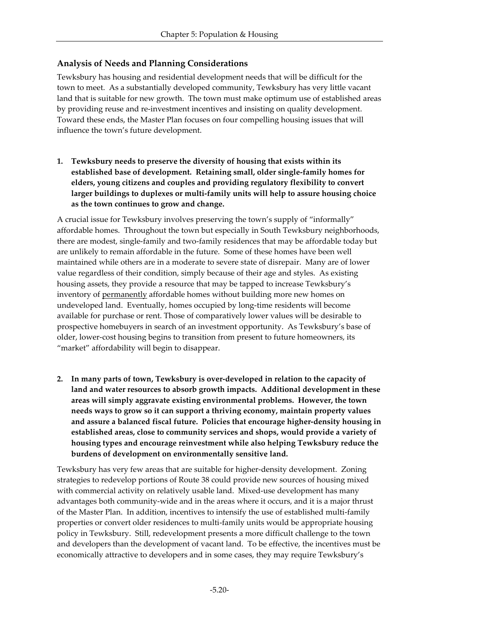# **Analysis of Needs and Planning Considerations**

Tewksbury has housing and residential development needs that will be difficult for the town to meet. As a substantially developed community, Tewksbury has very little vacant land that is suitable for new growth. The town must make optimum use of established areas by providing reuse and re-investment incentives and insisting on quality development. Toward these ends, the Master Plan focuses on four compelling housing issues that will influence the town's future development.

**1. Tewksbury needs to preserve the diversity of housing that exists within its established base of development. Retaining small, older single-family homes for elders, young citizens and couples and providing regulatory flexibility to convert larger buildings to duplexes or multi-family units will help to assure housing choice as the town continues to grow and change.** 

A crucial issue for Tewksbury involves preserving the town's supply of "informally" affordable homes. Throughout the town but especially in South Tewksbury neighborhoods, there are modest, single-family and two-family residences that may be affordable today but are unlikely to remain affordable in the future. Some of these homes have been well maintained while others are in a moderate to severe state of disrepair. Many are of lower value regardless of their condition, simply because of their age and styles. As existing housing assets, they provide a resource that may be tapped to increase Tewksbury's inventory of <u>permanently</u> affordable homes without building more new homes on undeveloped land. Eventually, homes occupied by long-time residents will become available for purchase or rent. Those of comparatively lower values will be desirable to prospective homebuyers in search of an investment opportunity. As Tewksbury's base of older, lower-cost housing begins to transition from present to future homeowners, its "market" affordability will begin to disappear.

**2. In many parts of town, Tewksbury is over-developed in relation to the capacity of land and water resources to absorb growth impacts. Additional development in these areas will simply aggravate existing environmental problems. However, the town needs ways to grow so it can support a thriving economy, maintain property values and assure a balanced fiscal future. Policies that encourage higher-density housing in established areas, close to community services and shops, would provide a variety of housing types and encourage reinvestment while also helping Tewksbury reduce the burdens of development on environmentally sensitive land.**

Tewksbury has very few areas that are suitable for higher-density development. Zoning strategies to redevelop portions of Route 38 could provide new sources of housing mixed with commercial activity on relatively usable land. Mixed-use development has many advantages both community-wide and in the areas where it occurs, and it is a major thrust of the Master Plan. In addition, incentives to intensify the use of established multi-family properties or convert older residences to multi-family units would be appropriate housing policy in Tewksbury. Still, redevelopment presents a more difficult challenge to the town and developers than the development of vacant land. To be effective, the incentives must be economically attractive to developers and in some cases, they may require Tewksbury's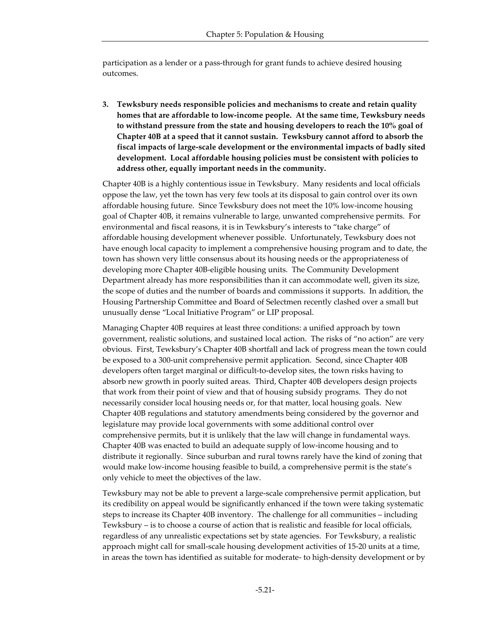participation as a lender or a pass-through for grant funds to achieve desired housing outcomes.

**3. Tewksbury needs responsible policies and mechanisms to create and retain quality homes that are affordable to low-income people. At the same time, Tewksbury needs to withstand pressure from the state and housing developers to reach the 10% goal of Chapter 40B at a speed that it cannot sustain. Tewksbury cannot afford to absorb the fiscal impacts of large-scale development or the environmental impacts of badly sited development. Local affordable housing policies must be consistent with policies to address other, equally important needs in the community.**

Chapter 40B is a highly contentious issue in Tewksbury. Many residents and local officials oppose the law, yet the town has very few tools at its disposal to gain control over its own affordable housing future. Since Tewksbury does not meet the 10% low-income housing goal of Chapter 40B, it remains vulnerable to large, unwanted comprehensive permits. For environmental and fiscal reasons, it is in Tewksbury's interests to "take charge" of affordable housing development whenever possible. Unfortunately, Tewksbury does not have enough local capacity to implement a comprehensive housing program and to date, the town has shown very little consensus about its housing needs or the appropriateness of developing more Chapter 40B-eligible housing units. The Community Development Department already has more responsibilities than it can accommodate well, given its size, the scope of duties and the number of boards and commissions it supports. In addition, the Housing Partnership Committee and Board of Selectmen recently clashed over a small but unusually dense "Local Initiative Program" or LIP proposal.

Managing Chapter 40B requires at least three conditions: a unified approach by town government, realistic solutions, and sustained local action. The risks of "no action" are very obvious. First, Tewksbury's Chapter 40B shortfall and lack of progress mean the town could be exposed to a 300-unit comprehensive permit application. Second, since Chapter 40B developers often target marginal or difficult-to-develop sites, the town risks having to absorb new growth in poorly suited areas. Third, Chapter 40B developers design projects that work from their point of view and that of housing subsidy programs. They do not necessarily consider local housing needs or, for that matter, local housing goals. New Chapter 40B regulations and statutory amendments being considered by the governor and legislature may provide local governments with some additional control over comprehensive permits, but it is unlikely that the law will change in fundamental ways. Chapter 40B was enacted to build an adequate supply of low-income housing and to distribute it regionally. Since suburban and rural towns rarely have the kind of zoning that would make low-income housing feasible to build, a comprehensive permit is the state's only vehicle to meet the objectives of the law.

Tewksbury may not be able to prevent a large-scale comprehensive permit application, but its credibility on appeal would be significantly enhanced if the town were taking systematic steps to increase its Chapter 40B inventory. The challenge for all communities – including Tewksbury – is to choose a course of action that is realistic and feasible for local officials, regardless of any unrealistic expectations set by state agencies. For Tewksbury, a realistic approach might call for small-scale housing development activities of 15-20 units at a time, in areas the town has identified as suitable for moderate- to high-density development or by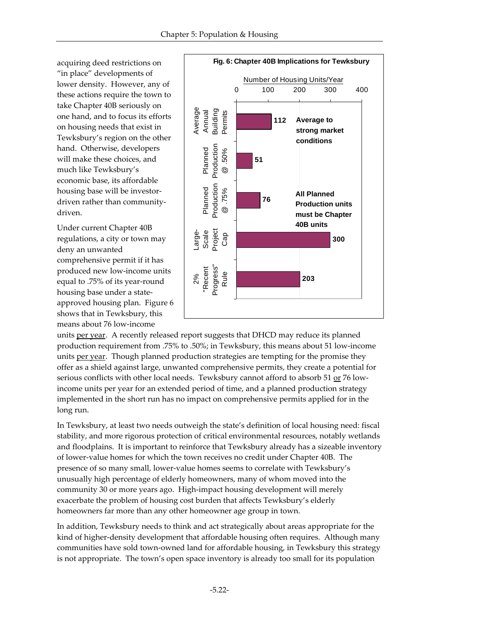acquiring deed restrictions on "in place" developments of lower density. However, any of these actions require the town to take Chapter 40B seriously on one hand, and to focus its efforts on housing needs that exist in Tewksbury's region on the other hand. Otherwise, developers will make these choices, and much like Tewksbury's economic base, its affordable housing base will be investordriven rather than communitydriven.

Under current Chapter 40B regulations, a city or town may deny an unwanted comprehensive permit if it has produced new low-income units equal to .75% of its year-round housing base under a stateapproved housing plan. Figure 6 shows that in Tewksbury, this means about 76 low-income



units per year. A recently released report suggests that DHCD may reduce its planned production requirement from .75% to .50%; in Tewksbury, this means about 51 low-income units per year. Though planned production strategies are tempting for the promise they offer as a shield against large, unwanted comprehensive permits, they create a potential for serious conflicts with other local needs. Tewksbury cannot afford to absorb 51 or 76 lowincome units per year for an extended period of time, and a planned production strategy implemented in the short run has no impact on comprehensive permits applied for in the long run.

In Tewksbury, at least two needs outweigh the state's definition of local housing need: fiscal stability, and more rigorous protection of critical environmental resources, notably wetlands and floodplains. It is important to reinforce that Tewksbury already has a sizeable inventory of lower-value homes for which the town receives no credit under Chapter 40B. The presence of so many small, lower-value homes seems to correlate with Tewksbury's unusually high percentage of elderly homeowners, many of whom moved into the community 30 or more years ago. High-impact housing development will merely exacerbate the problem of housing cost burden that affects Tewksbury's elderly homeowners far more than any other homeowner age group in town.

In addition, Tewksbury needs to think and act strategically about areas appropriate for the kind of higher-density development that affordable housing often requires. Although many communities have sold town-owned land for affordable housing, in Tewksbury this strategy is not appropriate. The town's open space inventory is already too small for its population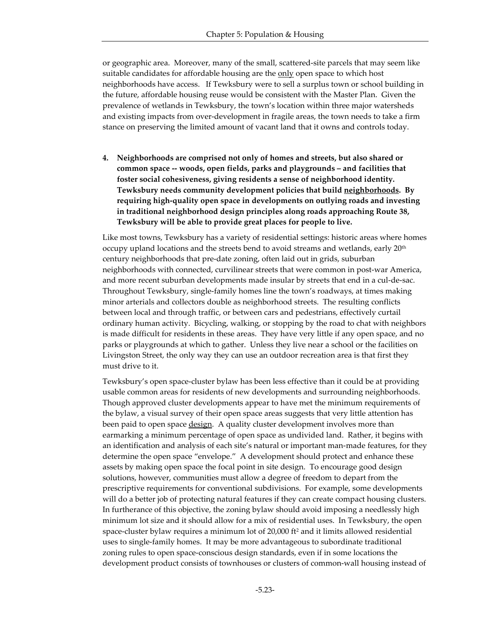or geographic area. Moreover, many of the small, scattered-site parcels that may seem like suitable candidates for affordable housing are the only open space to which host neighborhoods have access. If Tewksbury were to sell a surplus town or school building in the future, affordable housing reuse would be consistent with the Master Plan. Given the prevalence of wetlands in Tewksbury, the town's location within three major watersheds and existing impacts from over-development in fragile areas, the town needs to take a firm stance on preserving the limited amount of vacant land that it owns and controls today.

**4. Neighborhoods are comprised not only of homes and streets, but also shared or common space -- woods, open fields, parks and playgrounds – and facilities that foster social cohesiveness, giving residents a sense of neighborhood identity. Tewksbury needs community development policies that build neighborhoods. By requiring high-quality open space in developments on outlying roads and investing in traditional neighborhood design principles along roads approaching Route 38, Tewksbury will be able to provide great places for people to live.**

Like most towns, Tewksbury has a variety of residential settings: historic areas where homes occupy upland locations and the streets bend to avoid streams and wetlands, early 20th century neighborhoods that pre-date zoning, often laid out in grids, suburban neighborhoods with connected, curvilinear streets that were common in post-war America, and more recent suburban developments made insular by streets that end in a cul-de-sac. Throughout Tewksbury, single-family homes line the town's roadways, at times making minor arterials and collectors double as neighborhood streets. The resulting conflicts between local and through traffic, or between cars and pedestrians, effectively curtail ordinary human activity. Bicycling, walking, or stopping by the road to chat with neighbors is made difficult for residents in these areas. They have very little if any open space, and no parks or playgrounds at which to gather. Unless they live near a school or the facilities on Livingston Street, the only way they can use an outdoor recreation area is that first they must drive to it.

Tewksbury's open space-cluster bylaw has been less effective than it could be at providing usable common areas for residents of new developments and surrounding neighborhoods. Though approved cluster developments appear to have met the minimum requirements of the bylaw, a visual survey of their open space areas suggests that very little attention has been paid to open space <u>design</u>. A quality cluster development involves more than earmarking a minimum percentage of open space as undivided land. Rather, it begins with an identification and analysis of each site's natural or important man-made features, for they determine the open space "envelope." A development should protect and enhance these assets by making open space the focal point in site design. To encourage good design solutions, however, communities must allow a degree of freedom to depart from the prescriptive requirements for conventional subdivisions. For example, some developments will do a better job of protecting natural features if they can create compact housing clusters. In furtherance of this objective, the zoning bylaw should avoid imposing a needlessly high minimum lot size and it should allow for a mix of residential uses. In Tewksbury, the open space-cluster bylaw requires a minimum lot of 20,000 ft<sup>2</sup> and it limits allowed residential uses to single-family homes. It may be more advantageous to subordinate traditional zoning rules to open space-conscious design standards, even if in some locations the development product consists of townhouses or clusters of common-wall housing instead of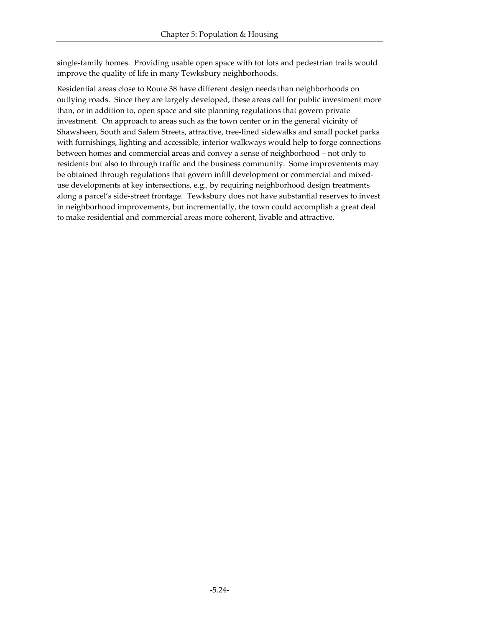single-family homes. Providing usable open space with tot lots and pedestrian trails would improve the quality of life in many Tewksbury neighborhoods.

Residential areas close to Route 38 have different design needs than neighborhoods on outlying roads. Since they are largely developed, these areas call for public investment more than, or in addition to, open space and site planning regulations that govern private investment. On approach to areas such as the town center or in the general vicinity of Shawsheen, South and Salem Streets, attractive, tree-lined sidewalks and small pocket parks with furnishings, lighting and accessible, interior walkways would help to forge connections between homes and commercial areas and convey a sense of neighborhood – not only to residents but also to through traffic and the business community. Some improvements may be obtained through regulations that govern infill development or commercial and mixeduse developments at key intersections, e.g., by requiring neighborhood design treatments along a parcel's side-street frontage. Tewksbury does not have substantial reserves to invest in neighborhood improvements, but incrementally, the town could accomplish a great deal to make residential and commercial areas more coherent, livable and attractive.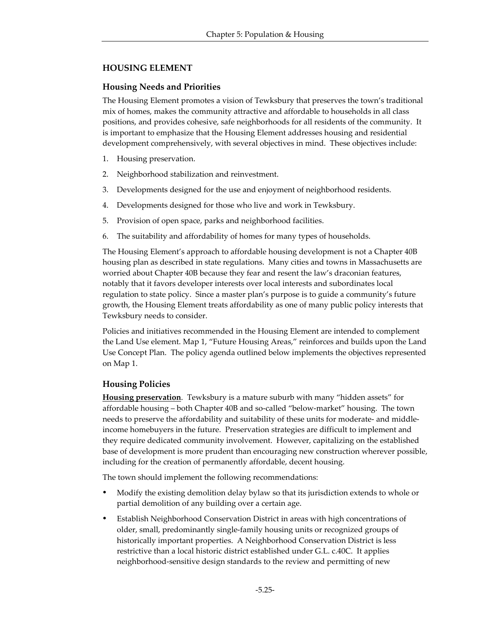# **HOUSING ELEMENT**

# **Housing Needs and Priorities**

The Housing Element promotes a vision of Tewksbury that preserves the town's traditional mix of homes, makes the community attractive and affordable to households in all class positions, and provides cohesive, safe neighborhoods for all residents of the community. It is important to emphasize that the Housing Element addresses housing and residential development comprehensively, with several objectives in mind. These objectives include:

- 1. Housing preservation.
- 2. Neighborhood stabilization and reinvestment.
- 3. Developments designed for the use and enjoyment of neighborhood residents.
- 4. Developments designed for those who live and work in Tewksbury.
- 5. Provision of open space, parks and neighborhood facilities.
- 6. The suitability and affordability of homes for many types of households.

The Housing Element's approach to affordable housing development is not a Chapter 40B housing plan as described in state regulations. Many cities and towns in Massachusetts are worried about Chapter 40B because they fear and resent the law's draconian features, notably that it favors developer interests over local interests and subordinates local regulation to state policy. Since a master plan's purpose is to guide a community's future growth, the Housing Element treats affordability as one of many public policy interests that Tewksbury needs to consider.

Policies and initiatives recommended in the Housing Element are intended to complement the Land Use element. Map 1, "Future Housing Areas," reinforces and builds upon the Land Use Concept Plan. The policy agenda outlined below implements the objectives represented on Map 1.

# **Housing Policies**

**Housing preservation**. Tewksbury is a mature suburb with many "hidden assets" for affordable housing – both Chapter 40B and so-called "below-market" housing. The town needs to preserve the affordability and suitability of these units for moderate- and middleincome homebuyers in the future. Preservation strategies are difficult to implement and they require dedicated community involvement. However, capitalizing on the established base of development is more prudent than encouraging new construction wherever possible, including for the creation of permanently affordable, decent housing.

The town should implement the following recommendations:

- ü Modify the existing demolition delay bylaw so that its jurisdiction extends to whole or partial demolition of any building over a certain age.
- Establish Neighborhood Conservation District in areas with high concentrations of older, small, predominantly single-family housing units or recognized groups of historically important properties. A Neighborhood Conservation District is less restrictive than a local historic district established under G.L. c.40C. It applies neighborhood-sensitive design standards to the review and permitting of new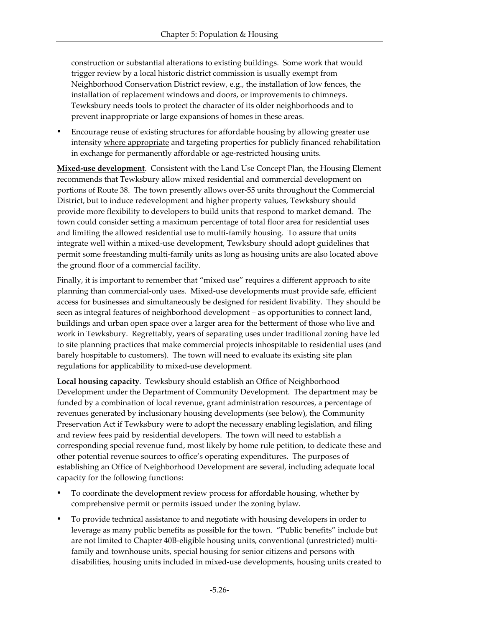construction or substantial alterations to existing buildings. Some work that would trigger review by a local historic district commission is usually exempt from Neighborhood Conservation District review, e.g., the installation of low fences, the installation of replacement windows and doors, or improvements to chimneys. Tewksbury needs tools to protect the character of its older neighborhoods and to prevent inappropriate or large expansions of homes in these areas.

ü Encourage reuse of existing structures for affordable housing by allowing greater use intensity where appropriate and targeting properties for publicly financed rehabilitation in exchange for permanently affordable or age-restricted housing units.

**Mixed-use development**. Consistent with the Land Use Concept Plan, the Housing Element recommends that Tewksbury allow mixed residential and commercial development on portions of Route 38. The town presently allows over-55 units throughout the Commercial District, but to induce redevelopment and higher property values, Tewksbury should provide more flexibility to developers to build units that respond to market demand. The town could consider setting a maximum percentage of total floor area for residential uses and limiting the allowed residential use to multi-family housing. To assure that units integrate well within a mixed-use development, Tewksbury should adopt guidelines that permit some freestanding multi-family units as long as housing units are also located above the ground floor of a commercial facility.

Finally, it is important to remember that "mixed use" requires a different approach to site planning than commercial-only uses. Mixed-use developments must provide safe, efficient access for businesses and simultaneously be designed for resident livability. They should be seen as integral features of neighborhood development – as opportunities to connect land, buildings and urban open space over a larger area for the betterment of those who live and work in Tewksbury. Regrettably, years of separating uses under traditional zoning have led to site planning practices that make commercial projects inhospitable to residential uses (and barely hospitable to customers). The town will need to evaluate its existing site plan regulations for applicability to mixed-use development.

**Local housing capacity**. Tewksbury should establish an Office of Neighborhood Development under the Department of Community Development. The department may be funded by a combination of local revenue, grant administration resources, a percentage of revenues generated by inclusionary housing developments (see below), the Community Preservation Act if Tewksbury were to adopt the necessary enabling legislation, and filing and review fees paid by residential developers. The town will need to establish a corresponding special revenue fund, most likely by home rule petition, to dedicate these and other potential revenue sources to office's operating expenditures. The purposes of establishing an Office of Neighborhood Development are several, including adequate local capacity for the following functions:

- ü To coordinate the development review process for affordable housing, whether by comprehensive permit or permits issued under the zoning bylaw.
- ü To provide technical assistance to and negotiate with housing developers in order to leverage as many public benefits as possible for the town. "Public benefits" include but are not limited to Chapter 40B-eligible housing units, conventional (unrestricted) multifamily and townhouse units, special housing for senior citizens and persons with disabilities, housing units included in mixed-use developments, housing units created to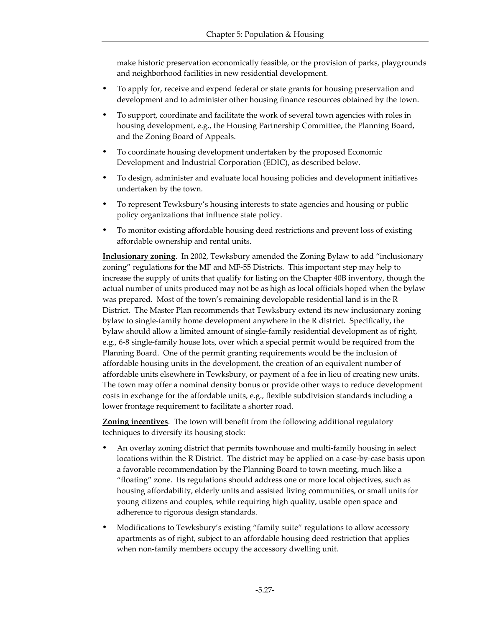make historic preservation economically feasible, or the provision of parks, playgrounds and neighborhood facilities in new residential development.

- ü To apply for, receive and expend federal or state grants for housing preservation and development and to administer other housing finance resources obtained by the town.
- ü To support, coordinate and facilitate the work of several town agencies with roles in housing development, e.g., the Housing Partnership Committee, the Planning Board, and the Zoning Board of Appeals.
- ü To coordinate housing development undertaken by the proposed Economic Development and Industrial Corporation (EDIC), as described below.
- ü To design, administer and evaluate local housing policies and development initiatives undertaken by the town.
- ü To represent Tewksbury's housing interests to state agencies and housing or public policy organizations that influence state policy.
- ü To monitor existing affordable housing deed restrictions and prevent loss of existing affordable ownership and rental units.

**Inclusionary zoning**. In 2002, Tewksbury amended the Zoning Bylaw to add "inclusionary zoning" regulations for the MF and MF-55 Districts. This important step may help to increase the supply of units that qualify for listing on the Chapter 40B inventory, though the actual number of units produced may not be as high as local officials hoped when the bylaw was prepared. Most of the town's remaining developable residential land is in the R District. The Master Plan recommends that Tewksbury extend its new inclusionary zoning bylaw to single-family home development anywhere in the R district. Specifically, the bylaw should allow a limited amount of single-family residential development as of right, e.g., 6-8 single-family house lots, over which a special permit would be required from the Planning Board. One of the permit granting requirements would be the inclusion of affordable housing units in the development, the creation of an equivalent number of affordable units elsewhere in Tewksbury, or payment of a fee in lieu of creating new units. The town may offer a nominal density bonus or provide other ways to reduce development costs in exchange for the affordable units, e.g., flexible subdivision standards including a lower frontage requirement to facilitate a shorter road.

**Zoning incentives**. The town will benefit from the following additional regulatory techniques to diversify its housing stock:

- An overlay zoning district that permits townhouse and multi-family housing in select locations within the R District. The district may be applied on a case-by-case basis upon a favorable recommendation by the Planning Board to town meeting, much like a "floating" zone. Its regulations should address one or more local objectives, such as housing affordability, elderly units and assisted living communities, or small units for young citizens and couples, while requiring high quality, usable open space and adherence to rigorous design standards.
- ü Modifications to Tewksbury's existing "family suite" regulations to allow accessory apartments as of right, subject to an affordable housing deed restriction that applies when non-family members occupy the accessory dwelling unit.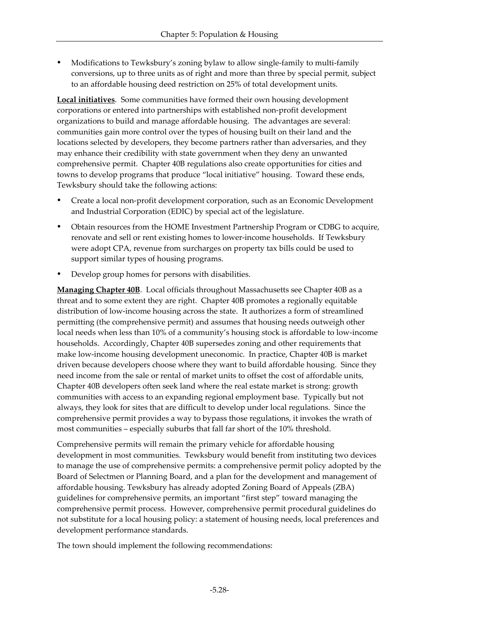ü Modifications to Tewksbury's zoning bylaw to allow single-family to multi-family conversions, up to three units as of right and more than three by special permit, subject to an affordable housing deed restriction on 25% of total development units.

**Local initiatives**. Some communities have formed their own housing development corporations or entered into partnerships with established non-profit development organizations to build and manage affordable housing. The advantages are several: communities gain more control over the types of housing built on their land and the locations selected by developers, they become partners rather than adversaries, and they may enhance their credibility with state government when they deny an unwanted comprehensive permit. Chapter 40B regulations also create opportunities for cities and towns to develop programs that produce "local initiative" housing. Toward these ends, Tewksbury should take the following actions:

- ü Create a local non-profit development corporation, such as an Economic Development and Industrial Corporation (EDIC) by special act of the legislature.
- ü Obtain resources from the HOME Investment Partnership Program or CDBG to acquire, renovate and sell or rent existing homes to lower-income households. If Tewksbury were adopt CPA, revenue from surcharges on property tax bills could be used to support similar types of housing programs.
- Develop group homes for persons with disabilities.

**Managing Chapter 40B**. Local officials throughout Massachusetts see Chapter 40B as a threat and to some extent they are right. Chapter 40B promotes a regionally equitable distribution of low-income housing across the state. It authorizes a form of streamlined permitting (the comprehensive permit) and assumes that housing needs outweigh other local needs when less than 10% of a community's housing stock is affordable to low-income households. Accordingly, Chapter 40B supersedes zoning and other requirements that make low-income housing development uneconomic. In practice, Chapter 40B is market driven because developers choose where they want to build affordable housing. Since they need income from the sale or rental of market units to offset the cost of affordable units, Chapter 40B developers often seek land where the real estate market is strong: growth communities with access to an expanding regional employment base. Typically but not always, they look for sites that are difficult to develop under local regulations. Since the comprehensive permit provides a way to bypass those regulations, it invokes the wrath of most communities – especially suburbs that fall far short of the 10% threshold.

Comprehensive permits will remain the primary vehicle for affordable housing development in most communities. Tewksbury would benefit from instituting two devices to manage the use of comprehensive permits: a comprehensive permit policy adopted by the Board of Selectmen or Planning Board, and a plan for the development and management of affordable housing. Tewksbury has already adopted Zoning Board of Appeals (ZBA) guidelines for comprehensive permits, an important "first step" toward managing the comprehensive permit process. However, comprehensive permit procedural guidelines do not substitute for a local housing policy: a statement of housing needs, local preferences and development performance standards.

The town should implement the following recommendations: